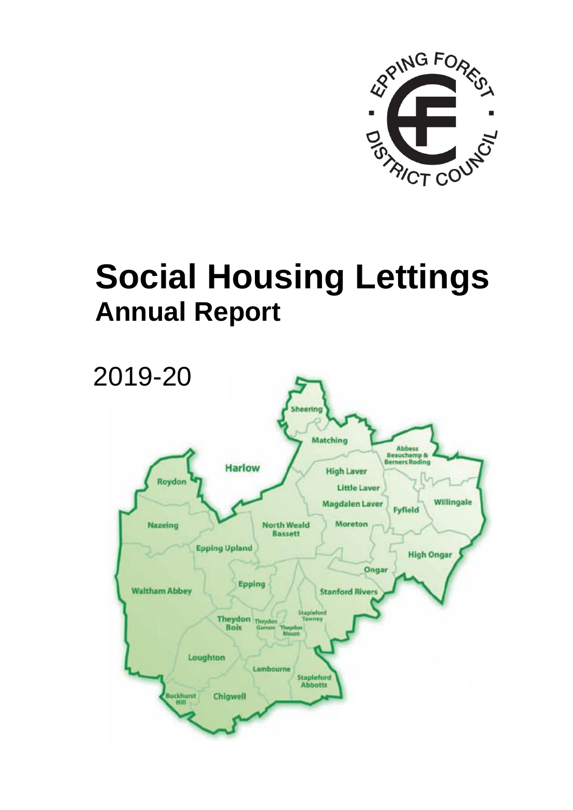

## **Social Housing Lettings Annual Report**

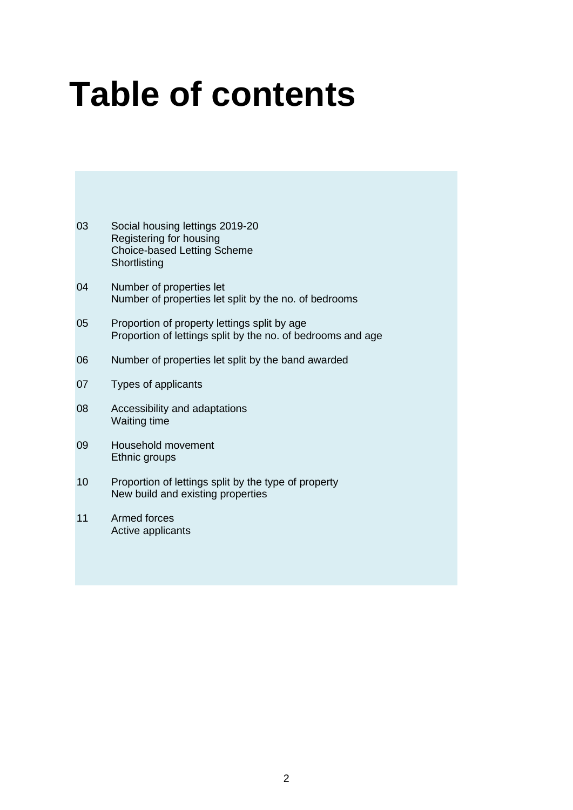# **Table of contents**

- 03 Social housing lettings 2019-20 Registering for housing Choice-based Letting Scheme **Shortlisting**
- 04 Number of properties let Number of properties let split by the no. of bedrooms
- 05 Proportion of property lettings split by age Proportion of lettings split by the no. of bedrooms and age
- 06 Number of properties let split by the band awarded
- 07 Types of applicants
- 08 Accessibility and adaptations Waiting time
- 09 Household movement Ethnic groups
- 10 Proportion of lettings split by the type of property New build and existing properties
- 11 Armed forces Active applicants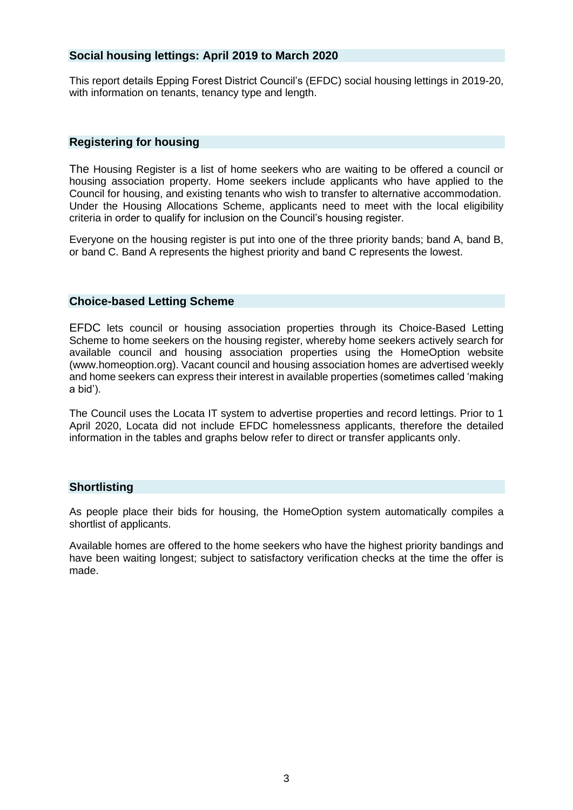#### **Social housing lettings: April 2019 to March 2020**

This report details Epping Forest District Council's (EFDC) social housing lettings in 2019-20, with information on tenants, tenancy type and length.

#### **Registering for housing**

The Housing Register is a list of home seekers who are waiting to be offered a council or housing association property. Home seekers include applicants who have applied to the Council for housing, and existing tenants who wish to transfer to alternative accommodation. Under the Housing Allocations Scheme, applicants need to meet with the local eligibility criteria in order to qualify for inclusion on the Council's housing register.

Everyone on the housing register is put into one of the three priority bands; band A, band B, or band C. Band A represents the highest priority and band C represents the lowest.

#### **Choice-based Letting Scheme**

EFDC lets council or housing association properties through its Choice-Based Letting Scheme to home seekers on the housing register, whereby home seekers actively search for available council and housing association properties using the HomeOption website [\(www.homeoption.org\)](http://www.homeoption.org/). Vacant council and housing association homes are advertised weekly and home seekers can express their interest in available properties (sometimes called 'making a bid').

The Council uses the Locata IT system to advertise properties and record lettings. Prior to 1 April 2020, Locata did not include EFDC homelessness applicants, therefore the detailed information in the tables and graphs below refer to direct or transfer applicants only.

#### **Shortlisting**

As people place their bids for housing, the HomeOption system automatically compiles a shortlist of applicants.

Available homes are offered to the home seekers who have the highest priority bandings and have been waiting longest; subject to satisfactory verification checks at the time the offer is made.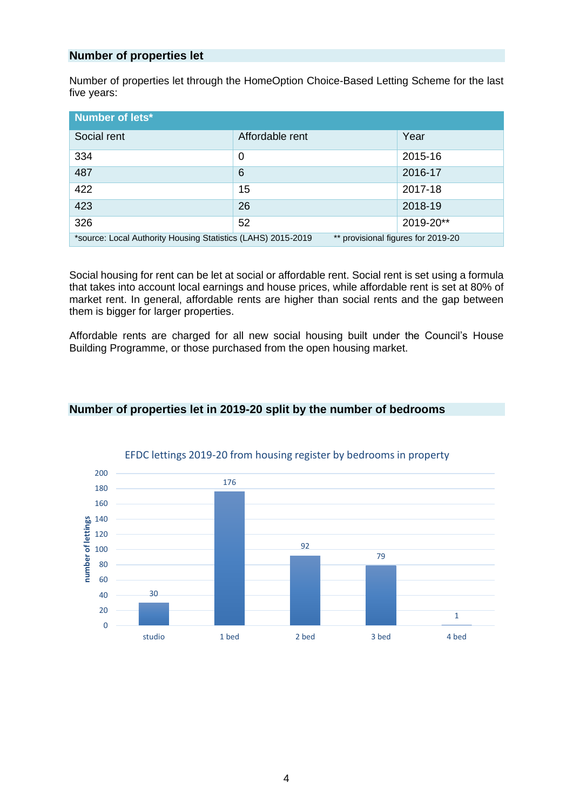#### **Number of properties let**

Number of properties let through the HomeOption Choice-Based Letting Scheme for the last five years:

| Number of lets*                                                                                    |                 |           |
|----------------------------------------------------------------------------------------------------|-----------------|-----------|
| Social rent                                                                                        | Affordable rent | Year      |
| 334                                                                                                | 0               | 2015-16   |
| 487                                                                                                | 6               | 2016-17   |
| 422                                                                                                | 15              | 2017-18   |
| 423                                                                                                | 26              | 2018-19   |
| 326                                                                                                | 52              | 2019-20** |
| ** provisional figures for 2019-20<br>*source: Local Authority Housing Statistics (LAHS) 2015-2019 |                 |           |

Social housing for rent can be let at social or affordable rent. Social rent is set using a formula that takes into account local earnings and house prices, while affordable rent is set at 80% of market rent. In general, affordable rents are higher than social rents and the gap between them is bigger for larger properties.

Affordable rents are charged for all new social housing built under the Council's House Building Programme, or those purchased from the open housing market.



### **Number of properties let in 2019-20 split by the number of bedrooms**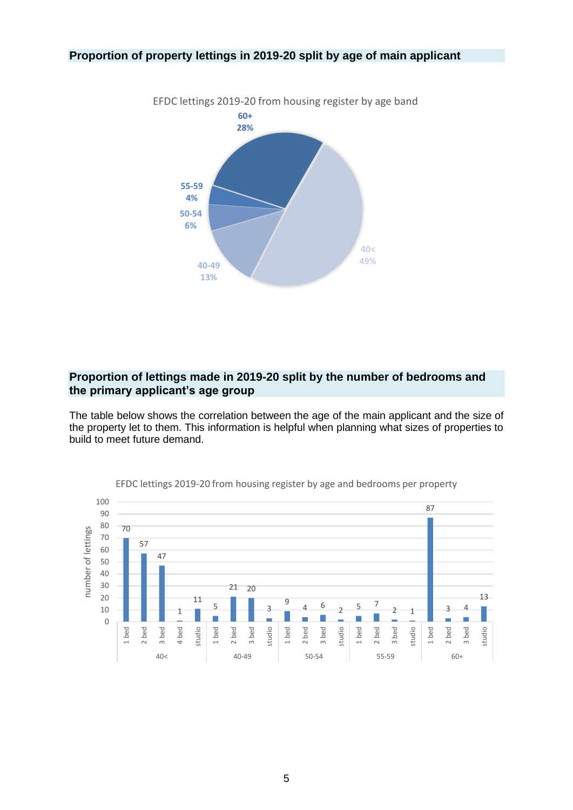#### **Proportion of property lettings in 2019-20 split by age of main applicant**



#### **Proportion of lettings made in 2019-20 split by the number of bedrooms and the primary applicant's age group**

The table below shows the correlation between the age of the main applicant and the size of the property let to them. This information is helpful when planning what sizes of properties to build to meet future demand.



EFDC lettings 2019-20 from housing register by age and bedrooms per property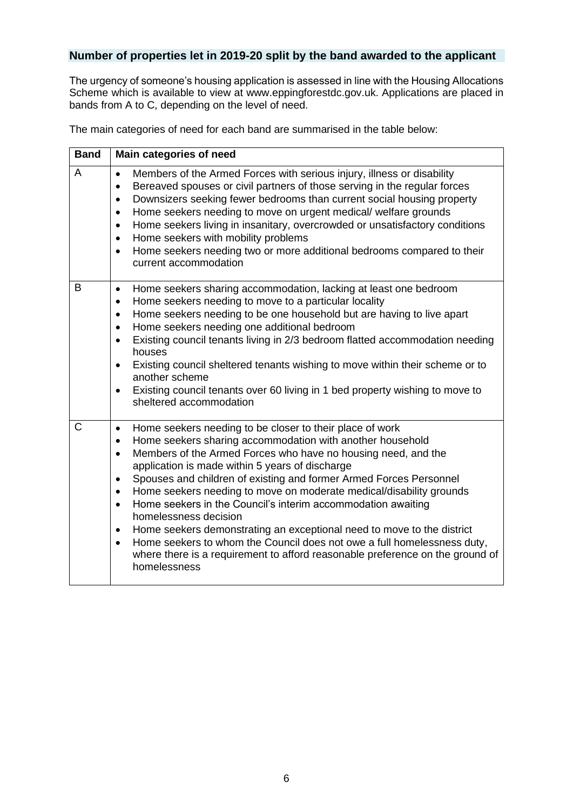#### **Number of properties let in 2019-20 split by the band awarded to the applicant**

The urgency of someone's housing application is assessed in line with the Housing Allocations Scheme which is available to view at [www.eppingforestdc.gov.uk.](http://www.eppingforestdc.gov.uk/) Applications are placed in bands from A to C, depending on the level of need.

The main categories of need for each band are summarised in the table below:

| <b>Band</b>    | Main categories of need                                                                                                                                                                                                                                                                                                                                                                                                                                                                                                                                                                                                                                                                                                                                                                                                                       |  |  |
|----------------|-----------------------------------------------------------------------------------------------------------------------------------------------------------------------------------------------------------------------------------------------------------------------------------------------------------------------------------------------------------------------------------------------------------------------------------------------------------------------------------------------------------------------------------------------------------------------------------------------------------------------------------------------------------------------------------------------------------------------------------------------------------------------------------------------------------------------------------------------|--|--|
| $\overline{A}$ | Members of the Armed Forces with serious injury, illness or disability<br>$\bullet$<br>Bereaved spouses or civil partners of those serving in the regular forces<br>$\bullet$<br>Downsizers seeking fewer bedrooms than current social housing property<br>$\bullet$<br>Home seekers needing to move on urgent medical/ welfare grounds<br>$\bullet$<br>Home seekers living in insanitary, overcrowded or unsatisfactory conditions<br>$\bullet$<br>Home seekers with mobility problems<br>$\bullet$<br>Home seekers needing two or more additional bedrooms compared to their<br>$\bullet$<br>current accommodation                                                                                                                                                                                                                          |  |  |
| B              | Home seekers sharing accommodation, lacking at least one bedroom<br>$\bullet$<br>Home seekers needing to move to a particular locality<br>$\bullet$<br>Home seekers needing to be one household but are having to live apart<br>$\bullet$<br>Home seekers needing one additional bedroom<br>$\bullet$<br>Existing council tenants living in 2/3 bedroom flatted accommodation needing<br>$\bullet$<br>houses<br>Existing council sheltered tenants wishing to move within their scheme or to<br>$\bullet$<br>another scheme<br>Existing council tenants over 60 living in 1 bed property wishing to move to<br>$\bullet$<br>sheltered accommodation                                                                                                                                                                                           |  |  |
| C              | Home seekers needing to be closer to their place of work<br>$\bullet$<br>Home seekers sharing accommodation with another household<br>$\bullet$<br>Members of the Armed Forces who have no housing need, and the<br>$\bullet$<br>application is made within 5 years of discharge<br>Spouses and children of existing and former Armed Forces Personnel<br>$\bullet$<br>Home seekers needing to move on moderate medical/disability grounds<br>$\bullet$<br>Home seekers in the Council's interim accommodation awaiting<br>$\bullet$<br>homelessness decision<br>Home seekers demonstrating an exceptional need to move to the district<br>$\bullet$<br>Home seekers to whom the Council does not owe a full homelessness duty,<br>$\bullet$<br>where there is a requirement to afford reasonable preference on the ground of<br>homelessness |  |  |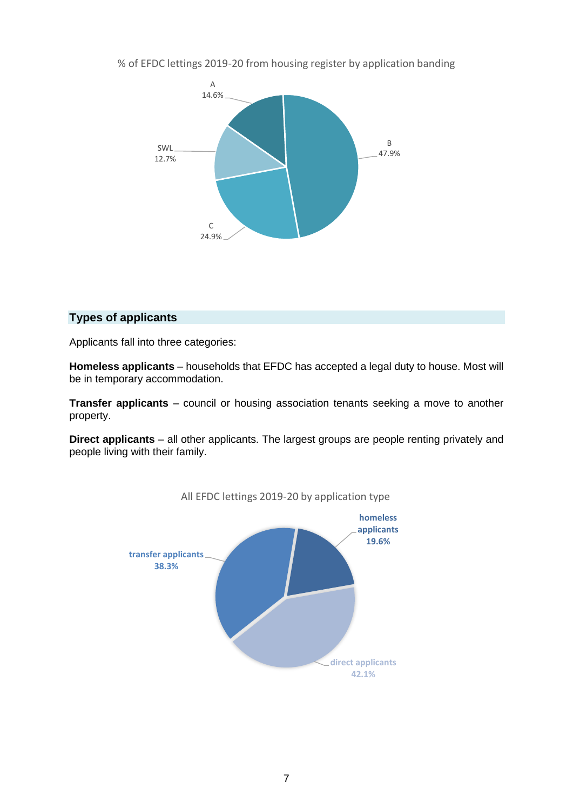% of EFDC lettings 2019-20 from housing register by application banding



#### **Types of applicants**

Applicants fall into three categories:

**Homeless applicants** – households that EFDC has accepted a legal duty to house. Most will be in temporary accommodation.

**Transfer applicants** – council or housing association tenants seeking a move to another property.

**Direct applicants** – all other applicants. The largest groups are people renting privately and people living with their family.



#### All EFDC lettings 2019-20 by application type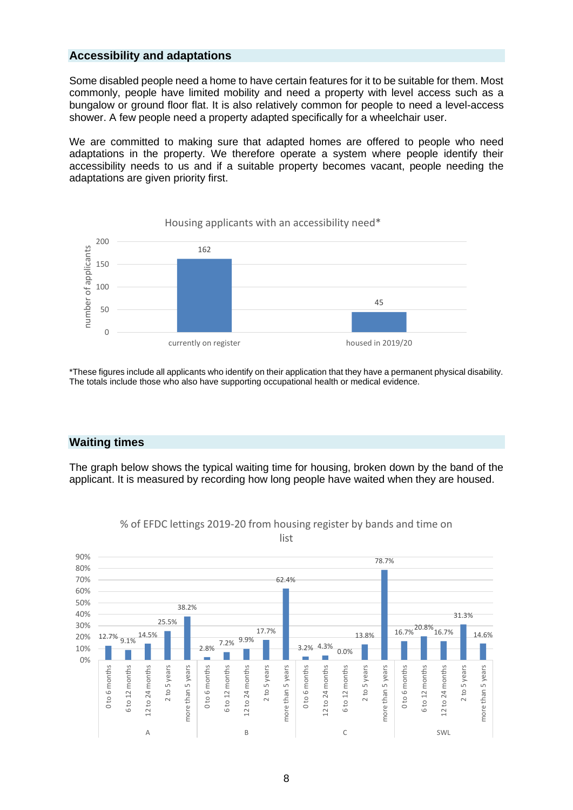#### **Accessibility and adaptations**

Some disabled people need a home to have certain features for it to be suitable for them. Most commonly, people have limited mobility and need a property with level access such as a bungalow or ground floor flat. It is also relatively common for people to need a level-access shower. A few people need a property adapted specifically for a wheelchair user.

We are committed to making sure that adapted homes are offered to people who need adaptations in the property. We therefore operate a system where people identify their accessibility needs to us and if a suitable property becomes vacant, people needing the adaptations are given priority first.



\*These figures include all applicants who identify on their application that they have a permanent physical disability. The totals include those who also have supporting occupational health or medical evidence.

#### **Waiting times**

The graph below shows the typical waiting time for housing, broken down by the band of the applicant. It is measured by recording how long people have waited when they are housed.



% of EFDC lettings 2019-20 from housing register by bands and time on list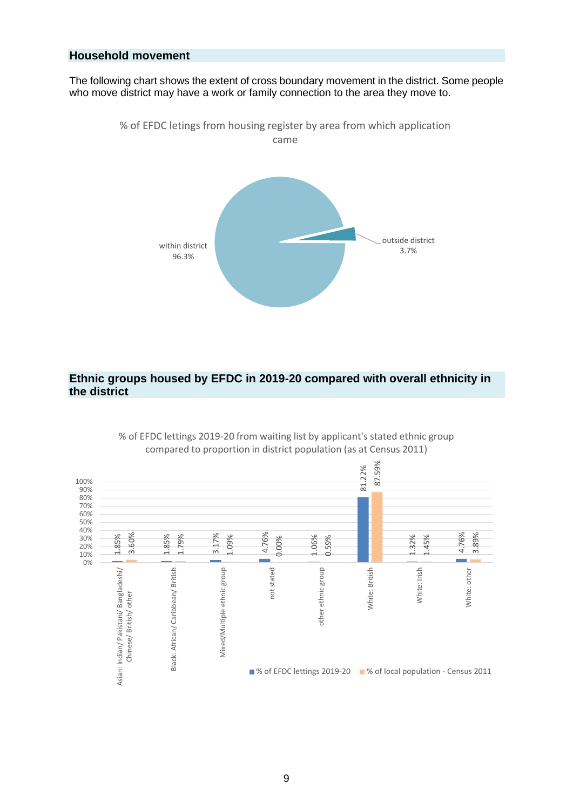#### **Household movement**

The following chart shows the extent of cross boundary movement in the district. Some people who move district may have a work or family connection to the area they move to.



#### **Ethnic groups housed by EFDC in 2019-20 compared with overall ethnicity in the district**



% of EFDC lettings 2019-20 from waiting list by applicant's stated ethnic group compared to proportion in district population (as at Census 2011)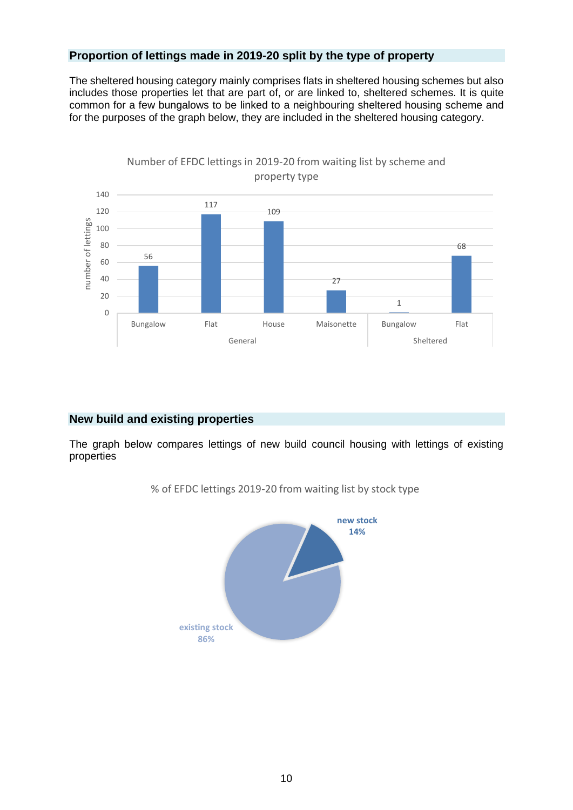#### **Proportion of lettings made in 2019-20 split by the type of property**

The sheltered housing category mainly comprises flats in sheltered housing schemes but also includes those properties let that are part of, or are linked to, sheltered schemes. It is quite common for a few bungalows to be linked to a neighbouring sheltered housing scheme and for the purposes of the graph below, they are included in the sheltered housing category.



#### **New build and existing properties**

The graph below compares lettings of new build council housing with lettings of existing properties



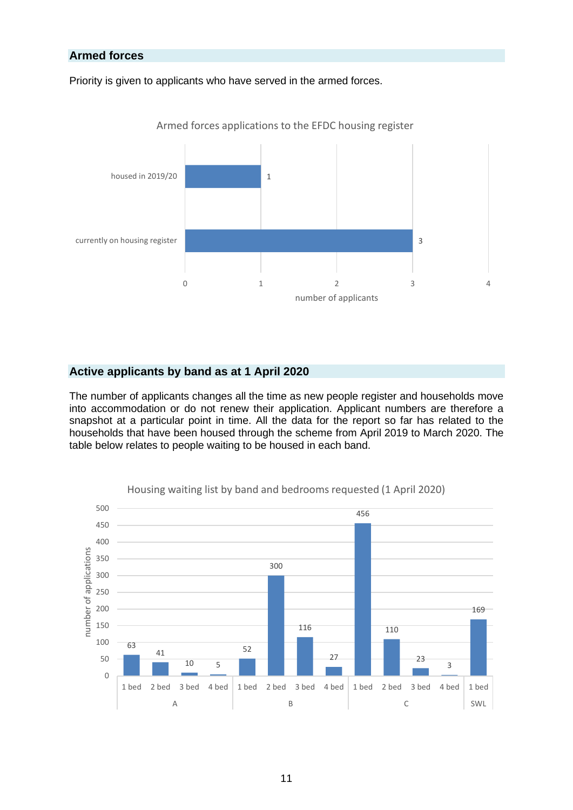#### **Armed forces**

Priority is given to applicants who have served in the armed forces.



Armed forces applications to the EFDC housing register

#### **Active applicants by band as at 1 April 2020**

The number of applicants changes all the time as new people register and households move into accommodation or do not renew their application. Applicant numbers are therefore a snapshot at a particular point in time. All the data for the report so far has related to the households that have been housed through the scheme from April 2019 to March 2020. The table below relates to people waiting to be housed in each band.



Housing waiting list by band and bedrooms requested (1 April 2020)